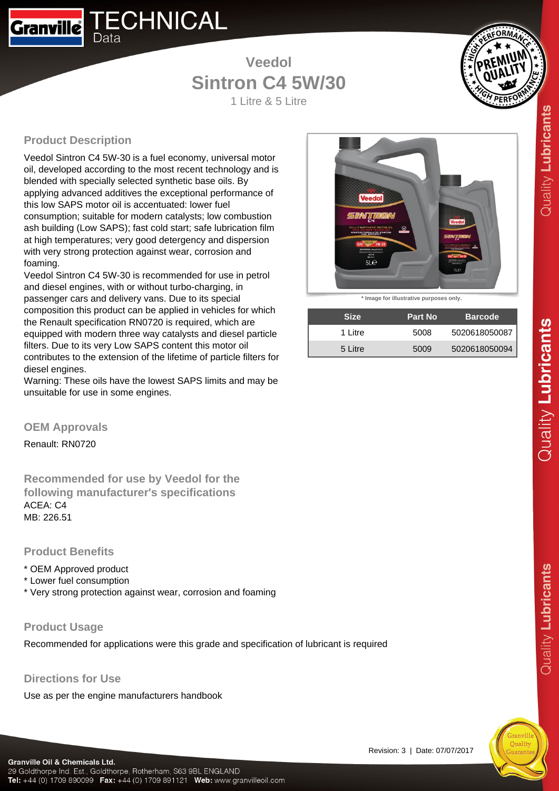

# **Veedol Sintron C4 5W/30**

1 Litre & 5 Litre



# **Product Description**

Veedol Sintron C4 5W-30 is a fuel economy, universal motor oil, developed according to the most recent technology and is blended with specially selected synthetic base oils. By applying advanced additives the exceptional performance of this low SAPS motor oil is accentuated: lower fuel consumption; suitable for modern catalysts; low combustion ash building (Low SAPS); fast cold start; safe lubrication film at high temperatures; very good detergency and dispersion with very strong protection against wear, corrosion and foaming.

Veedol Sintron C4 5W-30 is recommended for use in petrol and diesel engines, with or without turbo-charging, in passenger cars and delivery vans. Due to its special composition this product can be applied in vehicles for which the Renault specification RN0720 is required, which are equipped with modern three way catalysts and diesel particle filters. Due to its very Low SAPS content this motor oil contributes to the extension of the lifetime of particle filters for diesel engines.

Warning: These oils have the lowest SAPS limits and may be unsuitable for use in some engines.



**\* Image for illustrative purposes only.**

| <b>Size</b> | <b>Part No.</b> | <b>Barcode</b> |
|-------------|-----------------|----------------|
| 1 Litre     | 5008            | 5020618050087  |
| 5 Litre     | 5009            | 5020618050094  |

Renault: RN0720

**OEM Approvals**

**Recommended for use by Veedol for the following manufacturer's specifications** ACEA: C4 MB: 226.51

## **Product Benefits**

- \* OEM Approved product
- \* Lower fuel consumption
- \* Very strong protection against wear, corrosion and foaming

## **Product Usage**

Recommended for applications were this grade and specification of lubricant is required

## **Directions for Use**

Use as per the engine manufacturers handbook